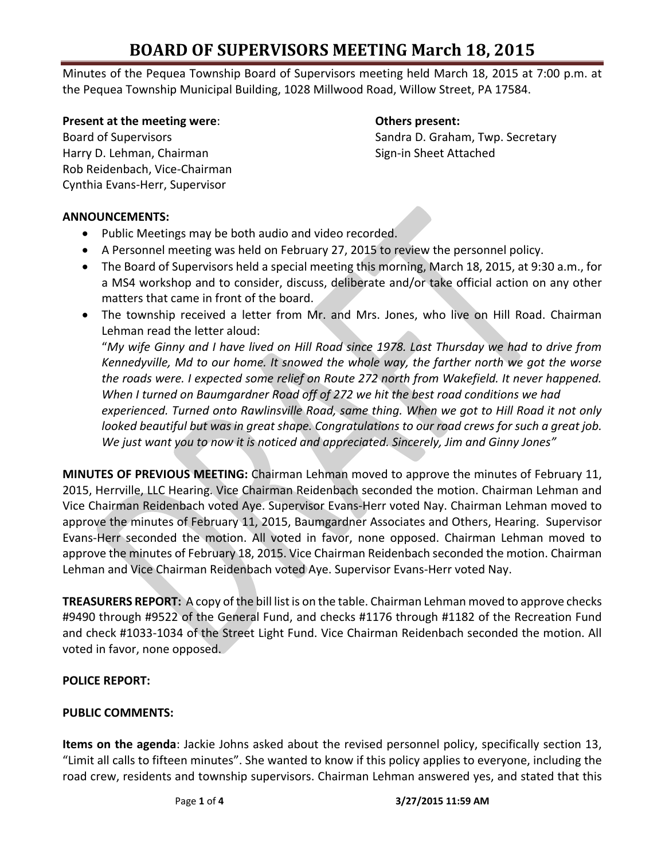# **BOARD OF SUPERVISORS MEETING March 18, 2015**

Minutes of the Pequea Township Board of Supervisors meeting held March 18, 2015 at 7:00 p.m. at the Pequea Township Municipal Building, 1028 Millwood Road, Willow Street, PA 17584.

#### **Present at the meeting were**: **Others present:**

Harry D. Lehman, Chairman Sign-in Sheet Attached Rob Reidenbach, Vice-Chairman Cynthia Evans-Herr, Supervisor

Board of Supervisors Sandra D. Graham, Twp. Secretary

### **ANNOUNCEMENTS:**

- Public Meetings may be both audio and video recorded.
- A Personnel meeting was held on February 27, 2015 to review the personnel policy.
- The Board of Supervisors held a special meeting this morning, March 18, 2015, at 9:30 a.m., for a MS4 workshop and to consider, discuss, deliberate and/or take official action on any other matters that came in front of the board.
- The township received a letter from Mr. and Mrs. Jones, who live on Hill Road. Chairman Lehman read the letter aloud:

"*My wife Ginny and I have lived on Hill Road since 1978. Last Thursday we had to drive from Kennedyville, Md to our home. It snowed the whole way, the farther north we got the worse the roads were. I expected some relief on Route 272 north from Wakefield. It never happened. When I turned on Baumgardner Road off of 272 we hit the best road conditions we had experienced. Turned onto Rawlinsville Road, same thing. When we got to Hill Road it not only looked beautiful but was in great shape. Congratulations to our road crews for such a great job. We just want you to now it is noticed and appreciated. Sincerely, Jim and Ginny Jones"*

**MINUTES OF PREVIOUS MEETING:** Chairman Lehman moved to approve the minutes of February 11, 2015, Herrville, LLC Hearing. Vice Chairman Reidenbach seconded the motion. Chairman Lehman and Vice Chairman Reidenbach voted Aye. Supervisor Evans-Herr voted Nay. Chairman Lehman moved to approve the minutes of February 11, 2015, Baumgardner Associates and Others, Hearing. Supervisor Evans-Herr seconded the motion. All voted in favor, none opposed. Chairman Lehman moved to approve the minutes of February 18, 2015. Vice Chairman Reidenbach seconded the motion. Chairman Lehman and Vice Chairman Reidenbach voted Aye. Supervisor Evans-Herr voted Nay.

**TREASURERS REPORT:** A copy of the bill list is on the table. Chairman Lehman moved to approve checks #9490 through #9522 of the General Fund, and checks #1176 through #1182 of the Recreation Fund and check #1033-1034 of the Street Light Fund. Vice Chairman Reidenbach seconded the motion. All voted in favor, none opposed.

#### **POLICE REPORT:**

#### **PUBLIC COMMENTS:**

**Items on the agenda**: Jackie Johns asked about the revised personnel policy, specifically section 13, "Limit all calls to fifteen minutes". She wanted to know if this policy applies to everyone, including the road crew, residents and township supervisors. Chairman Lehman answered yes, and stated that this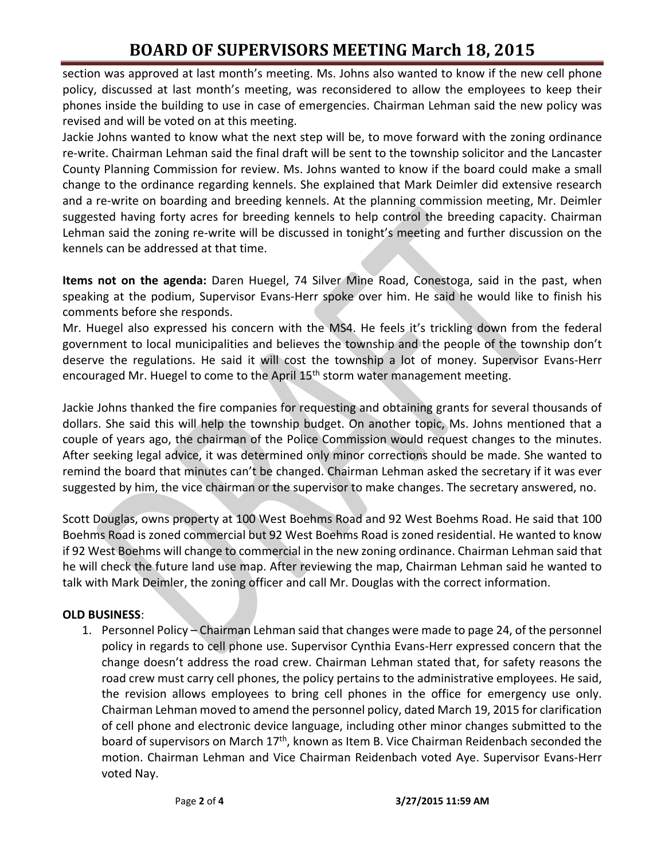# **BOARD OF SUPERVISORS MEETING March 18, 2015**

section was approved at last month's meeting. Ms. Johns also wanted to know if the new cell phone policy, discussed at last month's meeting, was reconsidered to allow the employees to keep their phones inside the building to use in case of emergencies. Chairman Lehman said the new policy was revised and will be voted on at this meeting.

Jackie Johns wanted to know what the next step will be, to move forward with the zoning ordinance re-write. Chairman Lehman said the final draft will be sent to the township solicitor and the Lancaster County Planning Commission for review. Ms. Johns wanted to know if the board could make a small change to the ordinance regarding kennels. She explained that Mark Deimler did extensive research and a re-write on boarding and breeding kennels. At the planning commission meeting, Mr. Deimler suggested having forty acres for breeding kennels to help control the breeding capacity. Chairman Lehman said the zoning re-write will be discussed in tonight's meeting and further discussion on the kennels can be addressed at that time.

**Items not on the agenda:** Daren Huegel, 74 Silver Mine Road, Conestoga, said in the past, when speaking at the podium, Supervisor Evans-Herr spoke over him. He said he would like to finish his comments before she responds.

Mr. Huegel also expressed his concern with the MS4. He feels it's trickling down from the federal government to local municipalities and believes the township and the people of the township don't deserve the regulations. He said it will cost the township a lot of money. Supervisor Evans-Herr encouraged Mr. Huegel to come to the April 15<sup>th</sup> storm water management meeting.

Jackie Johns thanked the fire companies for requesting and obtaining grants for several thousands of dollars. She said this will help the township budget. On another topic, Ms. Johns mentioned that a couple of years ago, the chairman of the Police Commission would request changes to the minutes. After seeking legal advice, it was determined only minor corrections should be made. She wanted to remind the board that minutes can't be changed. Chairman Lehman asked the secretary if it was ever suggested by him, the vice chairman or the supervisor to make changes. The secretary answered, no.

Scott Douglas, owns property at 100 West Boehms Road and 92 West Boehms Road. He said that 100 Boehms Road is zoned commercial but 92 West Boehms Road is zoned residential. He wanted to know if 92 West Boehms will change to commercial in the new zoning ordinance. Chairman Lehman said that he will check the future land use map. After reviewing the map, Chairman Lehman said he wanted to talk with Mark Deimler, the zoning officer and call Mr. Douglas with the correct information.

## **OLD BUSINESS**:

1. Personnel Policy – Chairman Lehman said that changes were made to page 24, of the personnel policy in regards to cell phone use. Supervisor Cynthia Evans-Herr expressed concern that the change doesn't address the road crew. Chairman Lehman stated that, for safety reasons the road crew must carry cell phones, the policy pertains to the administrative employees. He said, the revision allows employees to bring cell phones in the office for emergency use only. Chairman Lehman moved to amend the personnel policy, dated March 19, 2015 for clarification of cell phone and electronic device language, including other minor changes submitted to the board of supervisors on March 17<sup>th</sup>, known as Item B. Vice Chairman Reidenbach seconded the motion. Chairman Lehman and Vice Chairman Reidenbach voted Aye. Supervisor Evans-Herr voted Nay.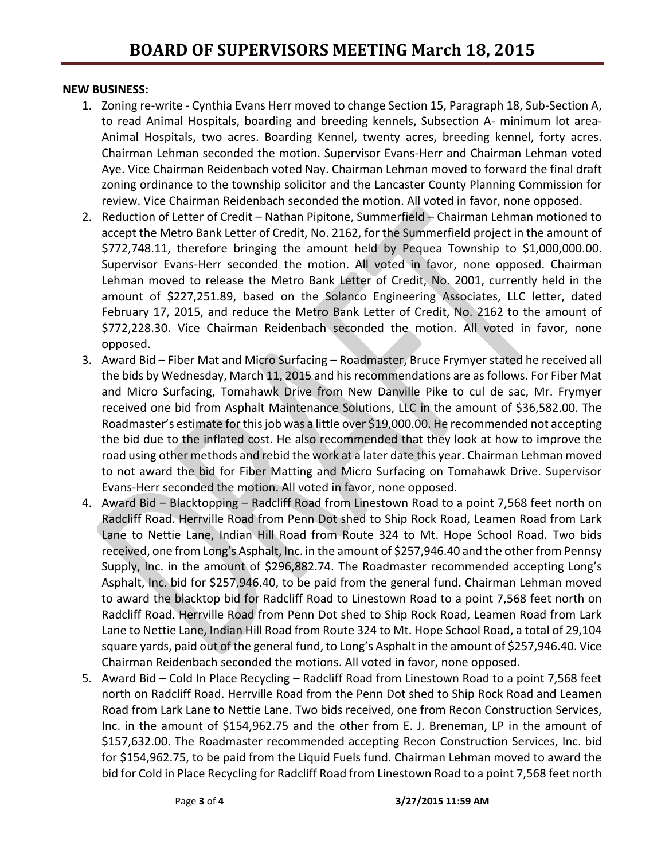### **NEW BUSINESS:**

- 1. Zoning re-write Cynthia Evans Herr moved to change Section 15, Paragraph 18, Sub-Section A, to read Animal Hospitals, boarding and breeding kennels, Subsection A- minimum lot area-Animal Hospitals, two acres. Boarding Kennel, twenty acres, breeding kennel, forty acres. Chairman Lehman seconded the motion. Supervisor Evans-Herr and Chairman Lehman voted Aye. Vice Chairman Reidenbach voted Nay. Chairman Lehman moved to forward the final draft zoning ordinance to the township solicitor and the Lancaster County Planning Commission for review. Vice Chairman Reidenbach seconded the motion. All voted in favor, none opposed.
- 2. Reduction of Letter of Credit Nathan Pipitone, Summerfield Chairman Lehman motioned to accept the Metro Bank Letter of Credit, No. 2162, for the Summerfield project in the amount of \$772,748.11, therefore bringing the amount held by Pequea Township to \$1,000,000.00. Supervisor Evans-Herr seconded the motion. All voted in favor, none opposed. Chairman Lehman moved to release the Metro Bank Letter of Credit, No. 2001, currently held in the amount of \$227,251.89, based on the Solanco Engineering Associates, LLC letter, dated February 17, 2015, and reduce the Metro Bank Letter of Credit, No. 2162 to the amount of \$772,228.30. Vice Chairman Reidenbach seconded the motion. All voted in favor, none opposed.
- 3. Award Bid Fiber Mat and Micro Surfacing Roadmaster, Bruce Frymyer stated he received all the bids by Wednesday, March 11, 2015 and his recommendations are as follows. For Fiber Mat and Micro Surfacing, Tomahawk Drive from New Danville Pike to cul de sac, Mr. Frymyer received one bid from Asphalt Maintenance Solutions, LLC in the amount of \$36,582.00. The Roadmaster's estimate for this job was a little over \$19,000.00. He recommended not accepting the bid due to the inflated cost. He also recommended that they look at how to improve the road using other methods and rebid the work at a later date this year. Chairman Lehman moved to not award the bid for Fiber Matting and Micro Surfacing on Tomahawk Drive. Supervisor Evans-Herr seconded the motion. All voted in favor, none opposed.
- 4. Award Bid Blacktopping Radcliff Road from Linestown Road to a point 7,568 feet north on Radcliff Road. Herrville Road from Penn Dot shed to Ship Rock Road, Leamen Road from Lark Lane to Nettie Lane, Indian Hill Road from Route 324 to Mt. Hope School Road. Two bids received, one from Long's Asphalt, Inc. in the amount of \$257,946.40 and the other from Pennsy Supply, Inc. in the amount of \$296,882.74. The Roadmaster recommended accepting Long's Asphalt, Inc. bid for \$257,946.40, to be paid from the general fund. Chairman Lehman moved to award the blacktop bid for Radcliff Road to Linestown Road to a point 7,568 feet north on Radcliff Road. Herrville Road from Penn Dot shed to Ship Rock Road, Leamen Road from Lark Lane to Nettie Lane, Indian Hill Road from Route 324 to Mt. Hope School Road, a total of 29,104 square yards, paid out of the general fund, to Long's Asphalt in the amount of \$257,946.40. Vice Chairman Reidenbach seconded the motions. All voted in favor, none opposed.
- 5. Award Bid Cold In Place Recycling Radcliff Road from Linestown Road to a point 7,568 feet north on Radcliff Road. Herrville Road from the Penn Dot shed to Ship Rock Road and Leamen Road from Lark Lane to Nettie Lane. Two bids received, one from Recon Construction Services, Inc. in the amount of \$154,962.75 and the other from E. J. Breneman, LP in the amount of \$157,632.00. The Roadmaster recommended accepting Recon Construction Services, Inc. bid for \$154,962.75, to be paid from the Liquid Fuels fund. Chairman Lehman moved to award the bid for Cold in Place Recycling for Radcliff Road from Linestown Road to a point 7,568 feet north